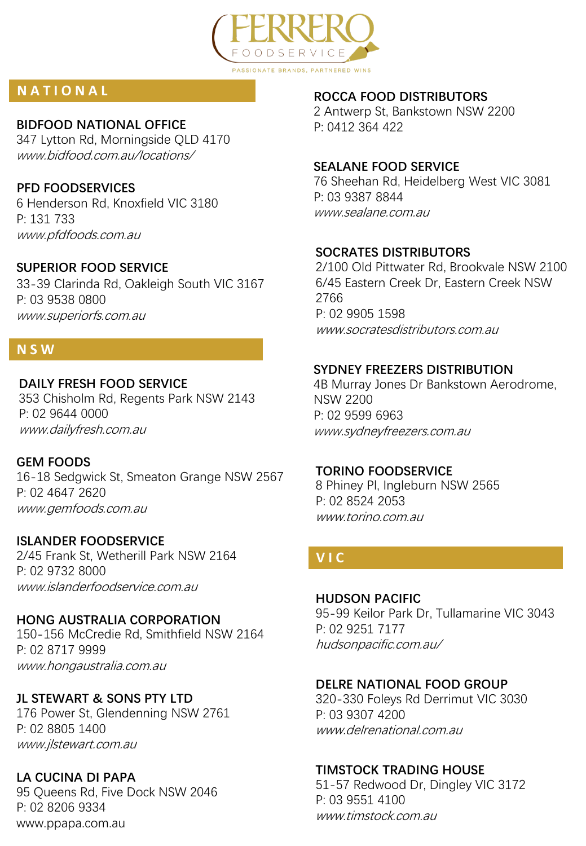

# **N A T I O N A L**

#### **BIDFOOD NATIONAL OFFICE**

347 Lytton Rd, Morningside QLD 4170 www.bidfood.com.au/locations/

# **PFD FOODSERVICES**

6 Henderson Rd, Knoxfield VIC 3180 P: 131 733 www.pfdfoods.com.au

# **SUPERIOR FOOD SERVICE**

33-39 Clarinda Rd, Oakleigh South VIC 3167 P: 03 9538 0800 www.superiorfs.com.au

# **N S W**

#### **DAILY FRESH FOOD SERVICE**

353 Chisholm Rd, Regents Park NSW 2143 P: 02 9644 0000 www.dailyfresh.com.au

#### **GEM FOODS**

16-18 Sedgwick St, Smeaton Grange NSW 2567 P: 02 4647 2620 www.gemfoods.com.au

#### **ISLANDER FOODSERVICE**

2/45 Frank St, Wetherill Park NSW 2164 P: 02 9732 8000 www.islanderfoodservice.com.au

# **HONG AUSTRALIA CORPORATION**

150-156 McCredie Rd, Smithfield NSW 2164 P: 02 8717 9999 www.hongaustralia.com.au

# **JL STEWART & SONS PTY LTD**

176 Power St, Glendenning NSW 2761 P: 02 8805 1400 www.jlstewart.com.au

# **LA CUCINA DI PAPA**

95 Queens Rd, Five Dock NSW 2046 P: 02 8206 9334 www.ppapa.com.au

#### **ROCCA FOOD DISTRIBUTORS**

2 Antwerp St, Bankstown NSW 2200 P: 0412 364 422

#### **SEALANE FOOD SERVICE**

76 Sheehan Rd, Heidelberg West VIC 3081 P: 03 9387 8844 www.sealane.com.au

#### **SOCRATES DISTRIBUTORS**

2/100 Old Pittwater Rd, Brookvale NSW 2100 6/45 Eastern Creek Dr, Eastern Creek NSW 2766 P: 02 9905 1598 www.socratesdistributors.com.au

#### **SYDNEY FREEZERS DISTRIBUTION**

4B Murray Jones Dr Bankstown Aerodrome, NSW 2200 P: 02 9599 6963 www.sydneyfreezers.com.au

#### **TORINO FOODSERVICE**

8 Phiney Pl, Ingleburn NSW 2565 P: 02 8524 2053 www.torino.com.au

# **V I C**

#### **HUDSON PACIFIC**

95-99 Keilor Park Dr, Tullamarine VIC 3043 P: 02 9251 7177 hudsonpacific.com.au/

#### **DELRE NATIONAL FOOD GROUP**

320-330 Foleys Rd Derrimut VIC 3030 P: 03 9307 4200 www.delrenational.com.au

# **TIMSTOCK TRADING HOUSE**

51-57 Redwood Dr, Dingley VIC 3172 P: 03 9551 4100 www.timstock.com.au